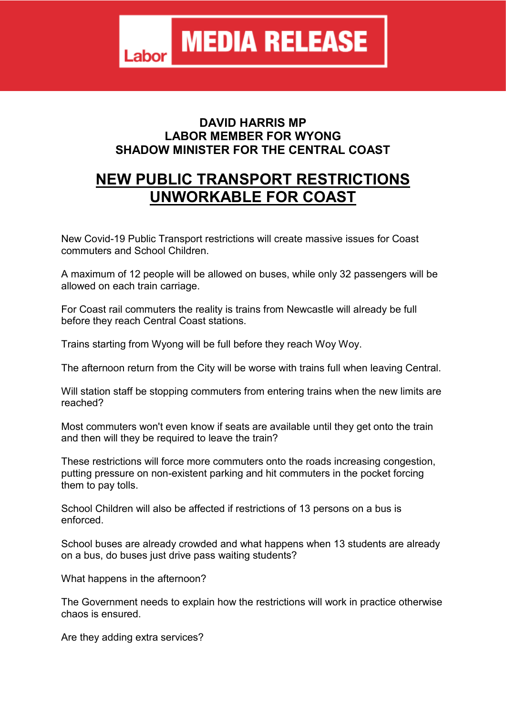## **DAVID HARRIS MP LABOR MEMBER FOR WYONG SHADOW MINISTER FOR THE CENTRAL COAST**

## **NEW PUBLIC TRANSPORT RESTRICTIONS UNWORKABLE FOR COAST**

New Covid-19 Public Transport restrictions will create massive issues for Coast commuters and School Children.

A maximum of 12 people will be allowed on buses, while only 32 passengers will be allowed on each train carriage.

For Coast rail commuters the reality is trains from Newcastle will already be full before they reach Central Coast stations.

Trains starting from Wyong will be full before they reach Woy Woy.

The afternoon return from the City will be worse with trains full when leaving Central.

Will station staff be stopping commuters from entering trains when the new limits are reached?

Most commuters won't even know if seats are available until they get onto the train and then will they be required to leave the train?

These restrictions will force more commuters onto the roads increasing congestion, putting pressure on non-existent parking and hit commuters in the pocket forcing them to pay tolls.

School Children will also be affected if restrictions of 13 persons on a bus is enforced.

School buses are already crowded and what happens when 13 students are already on a bus, do buses just drive pass waiting students?

What happens in the afternoon?

The Government needs to explain how the restrictions will work in practice otherwise chaos is ensured.

Are they adding extra services?